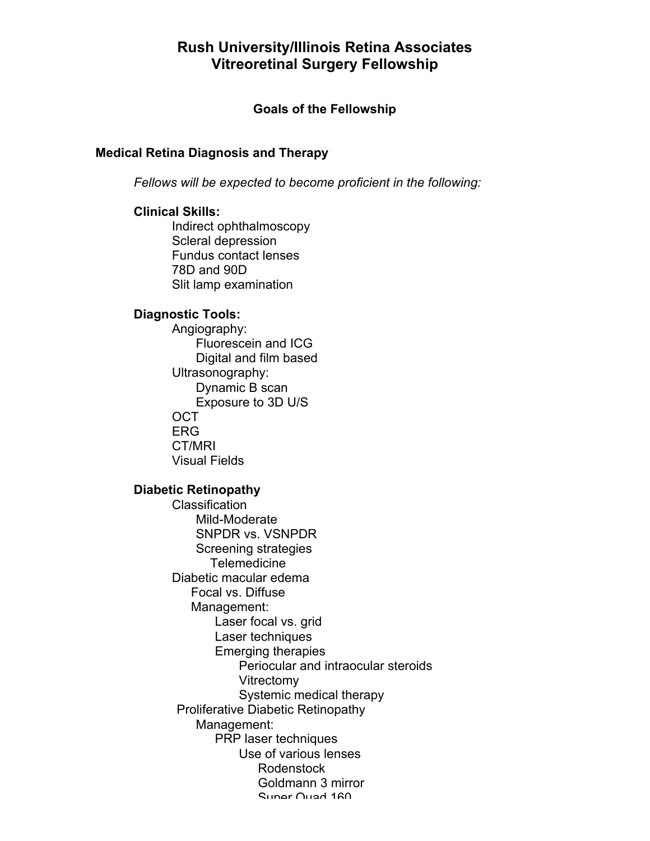# **Rush University/Illinois Retina Associates Vitreoretinal Surgery Fellowship**

# **Goals of the Fellowship**

# **Medical Retina Diagnosis and Therapy**

*Fellows will be expected to become proficient in the following:*

# **Clinical Skills:**

Indirect ophthalmoscopy Scleral depression Fundus contact lenses 78D and 90D Slit lamp examination

# **Diagnostic Tools:**

Angiography: Fluorescein and ICG Digital and film based Ultrasonography: Dynamic B scan Exposure to 3D U/S OCT ERG CT/MRI Visual Fields

# **Diabetic Retinopathy**

Classification Mild-Moderate SNPDR vs. VSNPDR Screening strategies Telemedicine Diabetic macular edema Focal vs. Diffuse Management: Laser focal vs. grid Laser techniques Emerging therapies Periocular and intraocular steroids Vitrectomy Systemic medical therapy Proliferative Diabetic Retinopathy Management: PRP laser techniques Use of various lenses Rodenstock Goldmann 3 mirror Super Quad 160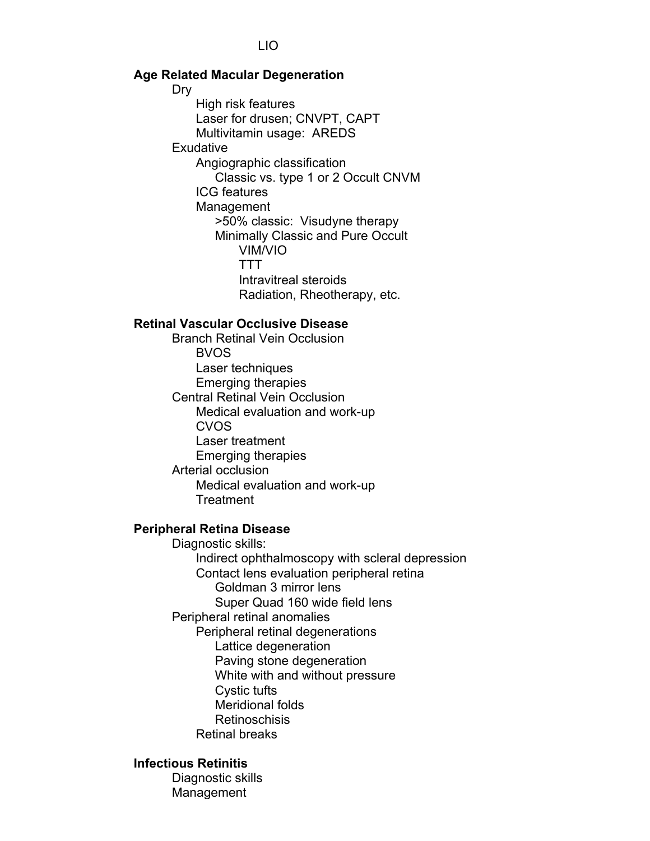### LIO

### **Age Related Macular Degeneration**

Dry

High risk features Laser for drusen; CNVPT, CAPT Multivitamin usage: AREDS **Exudative** Angiographic classification Classic vs. type 1 or 2 Occult CNVM ICG features Management >50% classic: Visudyne therapy Minimally Classic and Pure Occult VIM/VIO TTT Intravitreal steroids Radiation, Rheotherapy, etc.

### **Retinal Vascular Occlusive Disease**

Branch Retinal Vein Occlusion BVOS Laser techniques Emerging therapies Central Retinal Vein Occlusion Medical evaluation and work-up CVOS Laser treatment Emerging therapies Arterial occlusion Medical evaluation and work-up **Treatment** 

#### **Peripheral Retina Disease**

Diagnostic skills: Indirect ophthalmoscopy with scleral depression Contact lens evaluation peripheral retina Goldman 3 mirror lens Super Quad 160 wide field lens Peripheral retinal anomalies Peripheral retinal degenerations Lattice degeneration Paving stone degeneration White with and without pressure Cystic tufts Meridional folds Retinoschisis Retinal breaks

### **Infectious Retinitis**

Diagnostic skills Management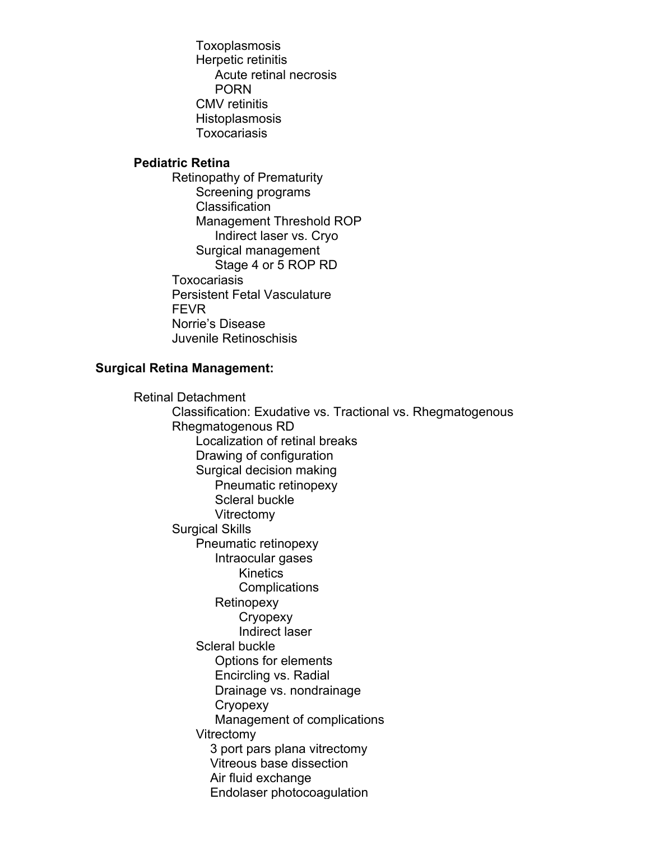Toxoplasmosis Herpetic retinitis Acute retinal necrosis PORN CMV retinitis Histoplasmosis Toxocariasis

# **Pediatric Retina**

Retinopathy of Prematurity Screening programs **Classification** Management Threshold ROP Indirect laser vs. Cryo Surgical management Stage 4 or 5 ROP RD Toxocariasis Persistent Fetal Vasculature FEVR Norrie's Disease Juvenile Retinoschisis

# **Surgical Retina Management:**

Retinal Detachment Classification: Exudative vs. Tractional vs. Rhegmatogenous Rhegmatogenous RD Localization of retinal breaks Drawing of configuration Surgical decision making Pneumatic retinopexy Scleral buckle Vitrectomy Surgical Skills Pneumatic retinopexy Intraocular gases **Kinetics Complications Retinopexy Cryopexy** Indirect laser Scleral buckle Options for elements Encircling vs. Radial Drainage vs. nondrainage **Cryopexy** Management of complications Vitrectomy 3 port pars plana vitrectomy Vitreous base dissection Air fluid exchange

Endolaser photocoagulation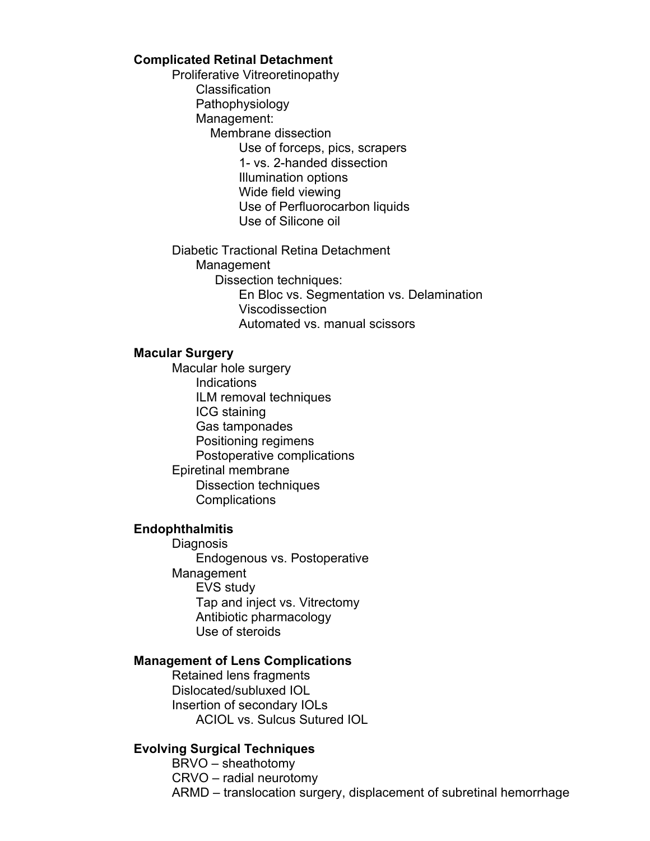### **Complicated Retinal Detachment**

Proliferative Vitreoretinopathy Classification Pathophysiology Management: Membrane dissection Use of forceps, pics, scrapers 1- vs. 2-handed dissection Illumination options Wide field viewing Use of Perfluorocarbon liquids Use of Silicone oil

Diabetic Tractional Retina Detachment Management Dissection techniques: En Bloc vs. Segmentation vs. Delamination Viscodissection Automated vs. manual scissors

### **Macular Surgery**

Macular hole surgery Indications ILM removal techniques ICG staining Gas tamponades Positioning regimens Postoperative complications Epiretinal membrane Dissection techniques **Complications** 

# **Endophthalmitis**

**Diagnosis** Endogenous vs. Postoperative Management EVS study Tap and inject vs. Vitrectomy Antibiotic pharmacology Use of steroids

### **Management of Lens Complications**

Retained lens fragments Dislocated/subluxed IOL Insertion of secondary IOLs ACIOL vs. Sulcus Sutured IOL

### **Evolving Surgical Techniques**

BRVO – sheathotomy CRVO – radial neurotomy ARMD – translocation surgery, displacement of subretinal hemorrhage